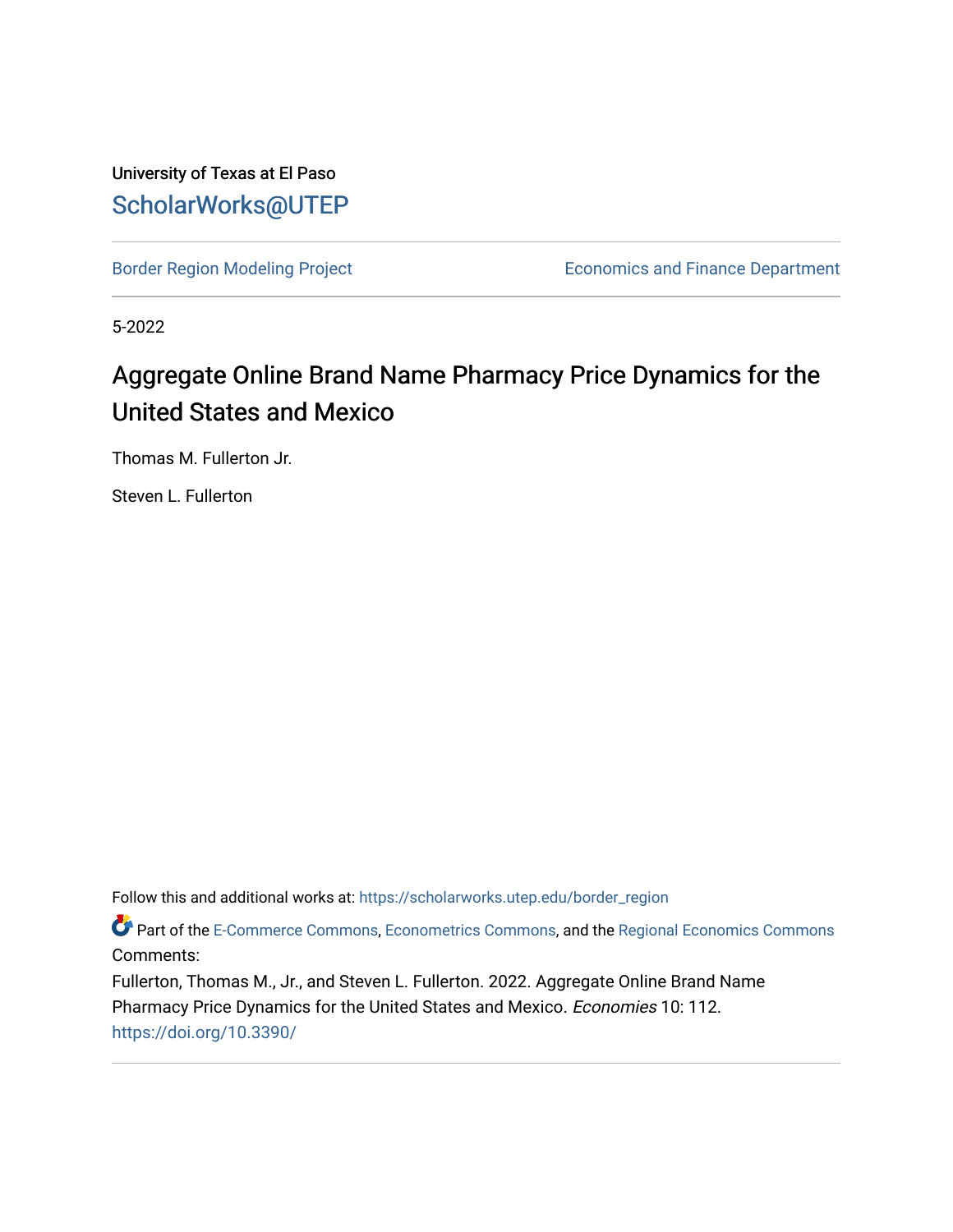University of Texas at El Paso [ScholarWorks@UTEP](https://scholarworks.utep.edu/)

[Border Region Modeling Project](https://scholarworks.utep.edu/border_region) **Example 20 Finance Department** Economics and Finance Department

5-2022

# Aggregate Online Brand Name Pharmacy Price Dynamics for the United States and Mexico

Thomas M. Fullerton Jr.

Steven L. Fullerton

Follow this and additional works at: [https://scholarworks.utep.edu/border\\_region](https://scholarworks.utep.edu/border_region?utm_source=scholarworks.utep.edu%2Fborder_region%2F138&utm_medium=PDF&utm_campaign=PDFCoverPages) 

Part of the [E-Commerce Commons](https://network.bepress.com/hgg/discipline/624?utm_source=scholarworks.utep.edu%2Fborder_region%2F138&utm_medium=PDF&utm_campaign=PDFCoverPages), [Econometrics Commons](https://network.bepress.com/hgg/discipline/342?utm_source=scholarworks.utep.edu%2Fborder_region%2F138&utm_medium=PDF&utm_campaign=PDFCoverPages), and the [Regional Economics Commons](https://network.bepress.com/hgg/discipline/1307?utm_source=scholarworks.utep.edu%2Fborder_region%2F138&utm_medium=PDF&utm_campaign=PDFCoverPages) Comments:

Fullerton, Thomas M., Jr., and Steven L. Fullerton. 2022. Aggregate Online Brand Name Pharmacy Price Dynamics for the United States and Mexico. Economies 10: 112. <https://doi.org/10.3390/>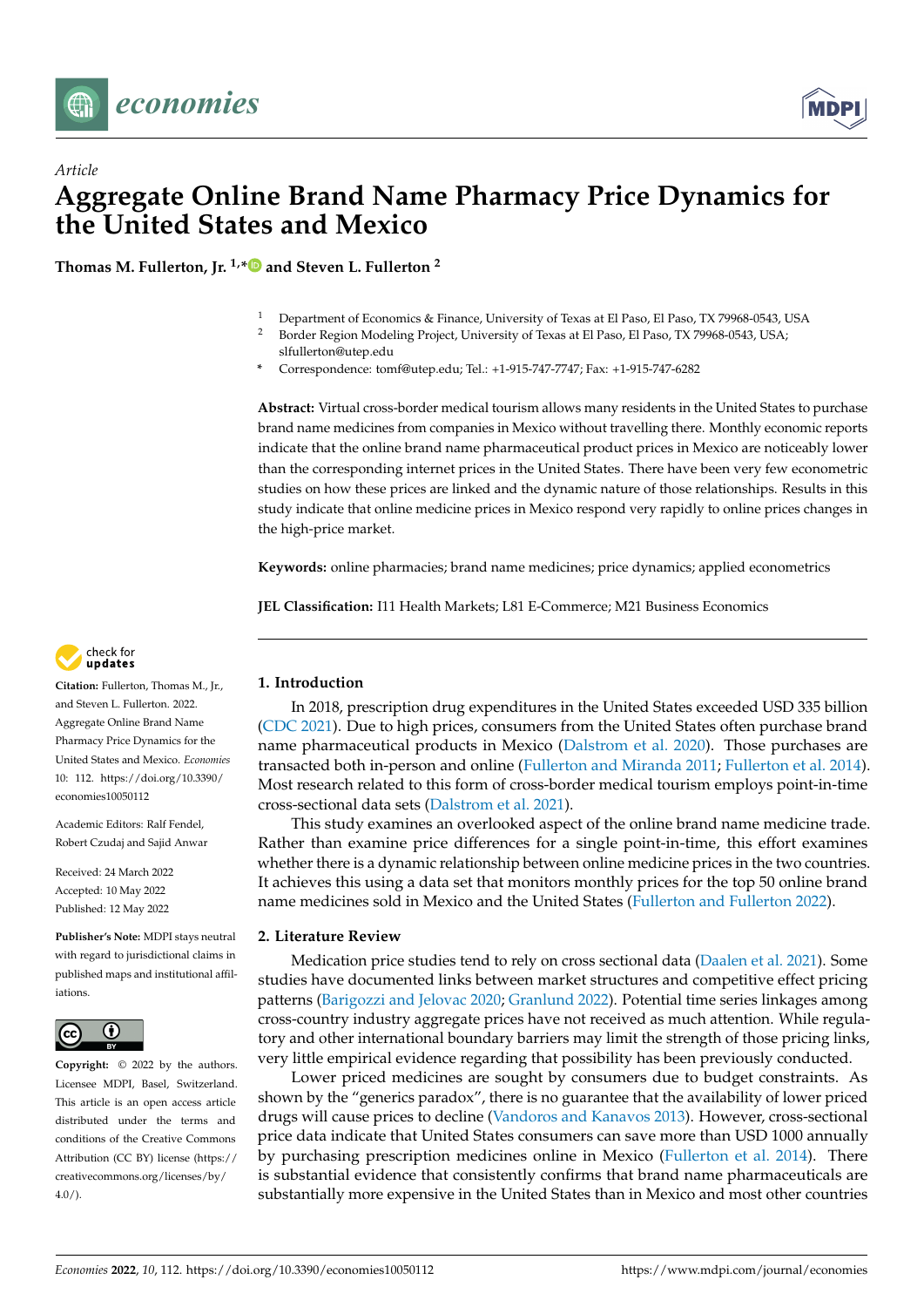



**Thomas M. Fullerton, Jr. 1,[\\*](https://orcid.org/0000-0002-5820-0713) and Steven L. Fullerton <sup>2</sup>**

- <sup>1</sup> Department of Economics & Finance, University of Texas at El Paso, El Paso, TX 79968-0543, USA<br><sup>2</sup> Border Borion Modeling Project, University of Texas at El Paso, El Paso, TX 79968-0543, USA
- <sup>2</sup> Border Region Modeling Project, University of Texas at El Paso, El Paso, TX 79968-0543, USA; slfullerton@utep.edu
- **\*** Correspondence: tomf@utep.edu; Tel.: +1-915-747-7747; Fax: +1-915-747-6282

**Abstract:** Virtual cross-border medical tourism allows many residents in the United States to purchase brand name medicines from companies in Mexico without travelling there. Monthly economic reports indicate that the online brand name pharmaceutical product prices in Mexico are noticeably lower than the corresponding internet prices in the United States. There have been very few econometric studies on how these prices are linked and the dynamic nature of those relationships. Results in this study indicate that online medicine prices in Mexico respond very rapidly to online prices changes in the high-price market.

**Keywords:** online pharmacies; brand name medicines; price dynamics; applied econometrics

**JEL Classification:** I11 Health Markets; L81 E-Commerce; M21 Business Economics



**Citation:** Fullerton, Thomas M., Jr., and Steven L. Fullerton. 2022. Aggregate Online Brand Name Pharmacy Price Dynamics for the United States and Mexico. *Economies* 10: 112. [https://doi.org/10.3390/](https://doi.org/10.3390/economies10050112) [economies10050112](https://doi.org/10.3390/economies10050112)

Academic Editors: Ralf Fendel, Robert Czudaj and Sajid Anwar

Received: 24 March 2022 Accepted: 10 May 2022 Published: 12 May 2022

**Publisher's Note:** MDPI stays neutral with regard to jurisdictional claims in published maps and institutional affiliations.



**Copyright:** © 2022 by the authors. Licensee MDPI, Basel, Switzerland. This article is an open access article distributed under the terms and conditions of the Creative Commons Attribution (CC BY) license [\(https://](https://creativecommons.org/licenses/by/4.0/) [creativecommons.org/licenses/by/](https://creativecommons.org/licenses/by/4.0/)  $4.0/$ ).

## **1. Introduction**

In 2018, prescription drug expenditures in the United States exceeded USD 335 billion [\(CDC](#page-4-0) [2021\)](#page-4-0). Due to high prices, consumers from the United States often purchase brand name pharmaceutical products in Mexico [\(Dalstrom et al.](#page-5-0) [2020\)](#page-5-0). Those purchases are transacted both in-person and online [\(Fullerton and Miranda](#page-5-1) [2011;](#page-5-1) [Fullerton et al.](#page-5-2) [2014\)](#page-5-2). Most research related to this form of cross-border medical tourism employs point-in-time cross-sectional data sets [\(Dalstrom et al.](#page-5-3) [2021\)](#page-5-3).

This study examines an overlooked aspect of the online brand name medicine trade. Rather than examine price differences for a single point-in-time, this effort examines whether there is a dynamic relationship between online medicine prices in the two countries. It achieves this using a data set that monitors monthly prices for the top 50 online brand name medicines sold in Mexico and the United States [\(Fullerton and Fullerton](#page-5-4) [2022\)](#page-5-4).

# **2. Literature Review**

Medication price studies tend to rely on cross sectional data [\(Daalen et al.](#page-4-1) [2021\)](#page-4-1). Some studies have documented links between market structures and competitive effect pricing patterns [\(Barigozzi and Jelovac](#page-4-2) [2020;](#page-4-2) [Granlund](#page-5-5) [2022\)](#page-5-5). Potential time series linkages among cross-country industry aggregate prices have not received as much attention. While regulatory and other international boundary barriers may limit the strength of those pricing links, very little empirical evidence regarding that possibility has been previously conducted.

Lower priced medicines are sought by consumers due to budget constraints. As shown by the "generics paradox", there is no guarantee that the availability of lower priced drugs will cause prices to decline [\(Vandoros and Kanavos](#page-5-6) [2013\)](#page-5-6). However, cross-sectional price data indicate that United States consumers can save more than USD 1000 annually by purchasing prescription medicines online in Mexico [\(Fullerton et al.](#page-5-2) [2014\)](#page-5-2). There is substantial evidence that consistently confirms that brand name pharmaceuticals are substantially more expensive in the United States than in Mexico and most other countries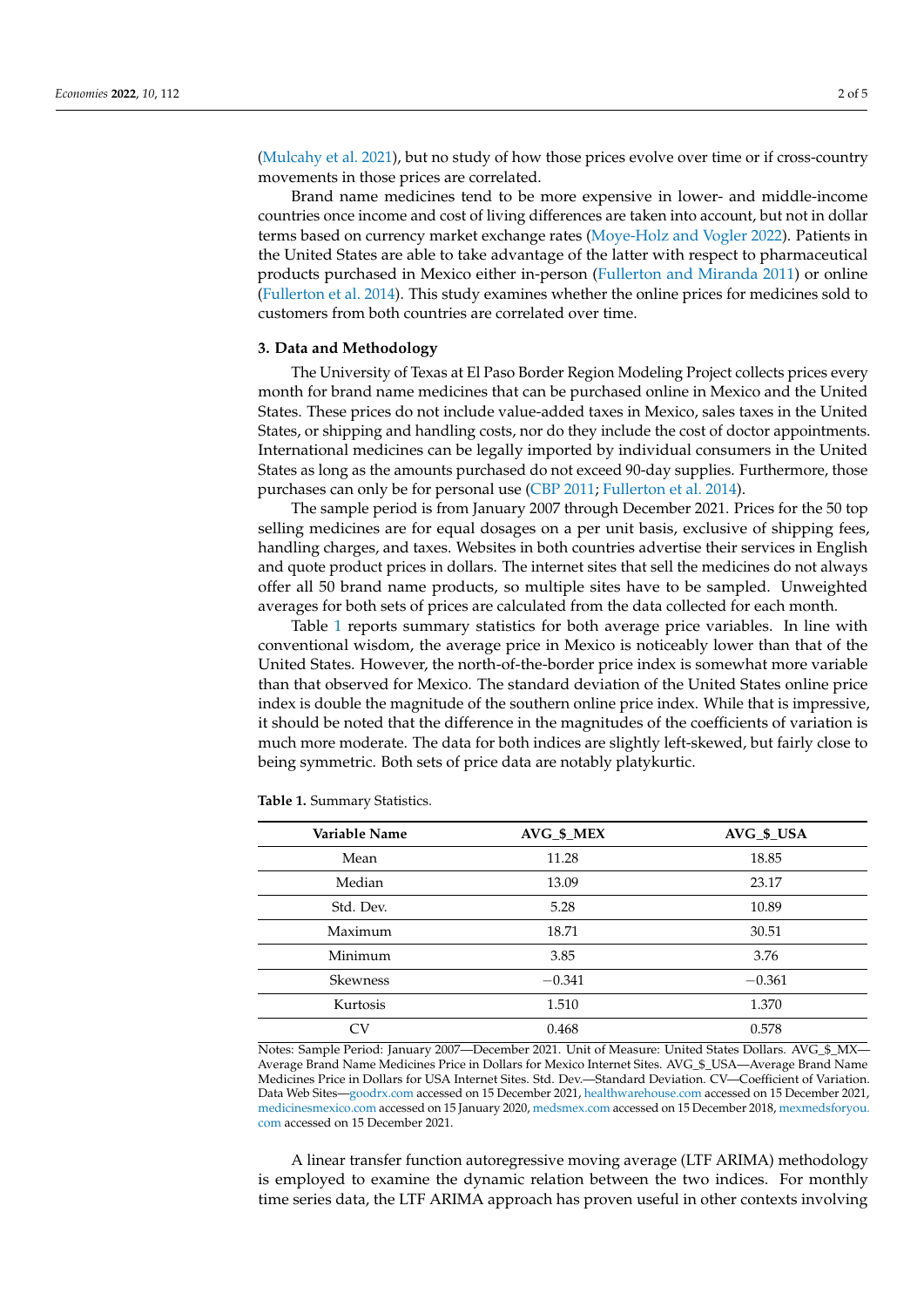[\(Mulcahy et al.](#page-5-7) [2021\)](#page-5-7), but no study of how those prices evolve over time or if cross-country movements in those prices are correlated.

Brand name medicines tend to be more expensive in lower- and middle-income countries once income and cost of living differences are taken into account, but not in dollar terms based on currency market exchange rates [\(Moye-Holz and Vogler](#page-5-8) [2022\)](#page-5-8). Patients in the United States are able to take advantage of the latter with respect to pharmaceutical products purchased in Mexico either in-person [\(Fullerton and Miranda](#page-5-1) [2011\)](#page-5-1) or online [\(Fullerton et al.](#page-5-2) [2014\)](#page-5-2). This study examines whether the online prices for medicines sold to customers from both countries are correlated over time.

## **3. Data and Methodology**

The University of Texas at El Paso Border Region Modeling Project collects prices every month for brand name medicines that can be purchased online in Mexico and the United States. These prices do not include value-added taxes in Mexico, sales taxes in the United States, or shipping and handling costs, nor do they include the cost of doctor appointments. International medicines can be legally imported by individual consumers in the United States as long as the amounts purchased do not exceed 90-day supplies. Furthermore, those purchases can only be for personal use [\(CBP](#page-4-3) [2011;](#page-4-3) [Fullerton et al.](#page-5-2) [2014\)](#page-5-2).

The sample period is from January 2007 through December 2021. Prices for the 50 top selling medicines are for equal dosages on a per unit basis, exclusive of shipping fees, handling charges, and taxes. Websites in both countries advertise their services in English and quote product prices in dollars. The internet sites that sell the medicines do not always offer all 50 brand name products, so multiple sites have to be sampled. Unweighted averages for both sets of prices are calculated from the data collected for each month.

Table [1](#page-2-0) reports summary statistics for both average price variables. In line with conventional wisdom, the average price in Mexico is noticeably lower than that of the United States. However, the north-of-the-border price index is somewhat more variable than that observed for Mexico. The standard deviation of the United States online price index is double the magnitude of the southern online price index. While that is impressive, it should be noted that the difference in the magnitudes of the coefficients of variation is much more moderate. The data for both indices are slightly left-skewed, but fairly close to being symmetric. Both sets of price data are notably platykurtic.

| Variable Name   | AVG \$ MEX | AVG \$ USA |
|-----------------|------------|------------|
| Mean            | 11.28      | 18.85      |
| Median          | 13.09      | 23.17      |
| Std. Dev.       | 5.28       | 10.89      |
| Maximum         | 18.71      | 30.51      |
| Minimum         | 3.85       | 3.76       |
| <b>Skewness</b> | $-0.341$   | $-0.361$   |
| Kurtosis        | 1.510      | 1.370      |
| CV              | 0.468      | 0.578      |

<span id="page-2-0"></span>**Table 1.** Summary Statistics.

Notes: Sample Period: January 2007—December 2021. Unit of Measure: United States Dollars. AVG\_\$\_MX— Average Brand Name Medicines Price in Dollars for Mexico Internet Sites. AVG\_\$\_USA—Average Brand Name Medicines Price in Dollars for USA Internet Sites. Std. Dev.—Standard Deviation. CV—Coefficient of Variation. Data Web Sites[—goodrx.com](goodrx.com) accessed on 15 December 2021, <healthwarehouse.com> accessed on 15 December 2021, <medicinesmexico.com> accessed on 15 January 2020, <medsmex.com> accessed on 15 December 2018, [mexmedsforyou.](mexmedsforyou.com) [com](mexmedsforyou.com) accessed on 15 December 2021.

A linear transfer function autoregressive moving average (LTF ARIMA) methodology is employed to examine the dynamic relation between the two indices. For monthly time series data, the LTF ARIMA approach has proven useful in other contexts involving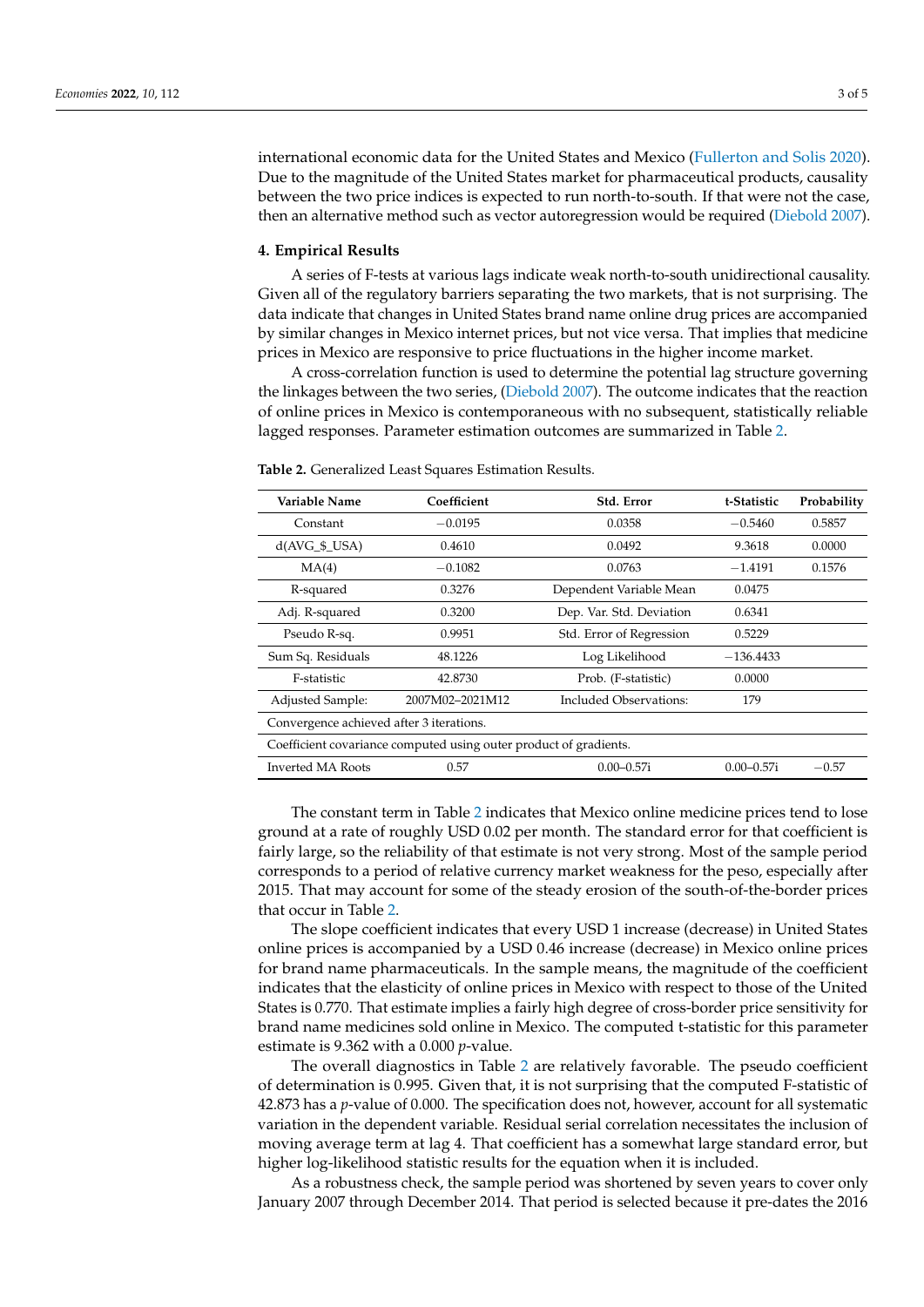international economic data for the United States and Mexico [\(Fullerton and Solis](#page-5-9) [2020\)](#page-5-9). Due to the magnitude of the United States market for pharmaceutical products, causality between the two price indices is expected to run north-to-south. If that were not the case, then an alternative method such as vector autoregression would be required [\(Diebold](#page-5-10) [2007\)](#page-5-10).

#### **4. Empirical Results**

A series of F-tests at various lags indicate weak north-to-south unidirectional causality. Given all of the regulatory barriers separating the two markets, that is not surprising. The data indicate that changes in United States brand name online drug prices are accompanied by similar changes in Mexico internet prices, but not vice versa. That implies that medicine prices in Mexico are responsive to price fluctuations in the higher income market.

A cross-correlation function is used to determine the potential lag structure governing the linkages between the two series, [\(Diebold](#page-5-10) [2007\)](#page-5-10). The outcome indicates that the reaction of online prices in Mexico is contemporaneous with no subsequent, statistically reliable lagged responses. Parameter estimation outcomes are summarized in Table [2.](#page-3-0)

| Variable Name                                                     | Coefficient     | Std. Error               | t-Statistic    | Probability |  |
|-------------------------------------------------------------------|-----------------|--------------------------|----------------|-------------|--|
| Constant                                                          | $-0.0195$       | 0.0358                   | $-0.5460$      | 0.5857      |  |
| $d(AVG_5_USA)$                                                    | 0.4610          | 0.0492                   | 9.3618         | 0.0000      |  |
| MA(4)                                                             | $-0.1082$       | 0.0763                   | $-1.4191$      | 0.1576      |  |
| R-squared                                                         | 0.3276          | Dependent Variable Mean  | 0.0475         |             |  |
| Adj. R-squared                                                    | 0.3200          | Dep. Var. Std. Deviation | 0.6341         |             |  |
| Pseudo R-sq.                                                      | 0.9951          | Std. Error of Regression | 0.5229         |             |  |
| Sum Sq. Residuals                                                 | 48.1226         | Log Likelihood           | $-136.4433$    |             |  |
| F-statistic                                                       | 42.8730         | Prob. (F-statistic)      | 0.0000         |             |  |
| Adjusted Sample:                                                  | 2007M02-2021M12 | Included Observations:   | 179            |             |  |
| Convergence achieved after 3 iterations.                          |                 |                          |                |             |  |
| Coefficient covariance computed using outer product of gradients. |                 |                          |                |             |  |
| Inverted MA Roots                                                 | 0.57            | $0.00 - 0.57i$           | $0.00 - 0.57i$ | $-0.57$     |  |
|                                                                   |                 |                          |                |             |  |

<span id="page-3-0"></span>**Table 2.** Generalized Least Squares Estimation Results.

The constant term in Table [2](#page-3-0) indicates that Mexico online medicine prices tend to lose ground at a rate of roughly USD 0.02 per month. The standard error for that coefficient is fairly large, so the reliability of that estimate is not very strong. Most of the sample period corresponds to a period of relative currency market weakness for the peso, especially after 2015. That may account for some of the steady erosion of the south-of-the-border prices that occur in Table [2.](#page-3-0)

The slope coefficient indicates that every USD 1 increase (decrease) in United States online prices is accompanied by a USD 0.46 increase (decrease) in Mexico online prices for brand name pharmaceuticals. In the sample means, the magnitude of the coefficient indicates that the elasticity of online prices in Mexico with respect to those of the United States is 0.770. That estimate implies a fairly high degree of cross-border price sensitivity for brand name medicines sold online in Mexico. The computed t-statistic for this parameter estimate is 9.362 with a 0.000 *p*-value.

The overall diagnostics in Table [2](#page-3-0) are relatively favorable. The pseudo coefficient of determination is 0.995. Given that, it is not surprising that the computed F-statistic of 42.873 has a *p*-value of 0.000. The specification does not, however, account for all systematic variation in the dependent variable. Residual serial correlation necessitates the inclusion of moving average term at lag 4. That coefficient has a somewhat large standard error, but higher log-likelihood statistic results for the equation when it is included.

As a robustness check, the sample period was shortened by seven years to cover only January 2007 through December 2014. That period is selected because it pre-dates the 2016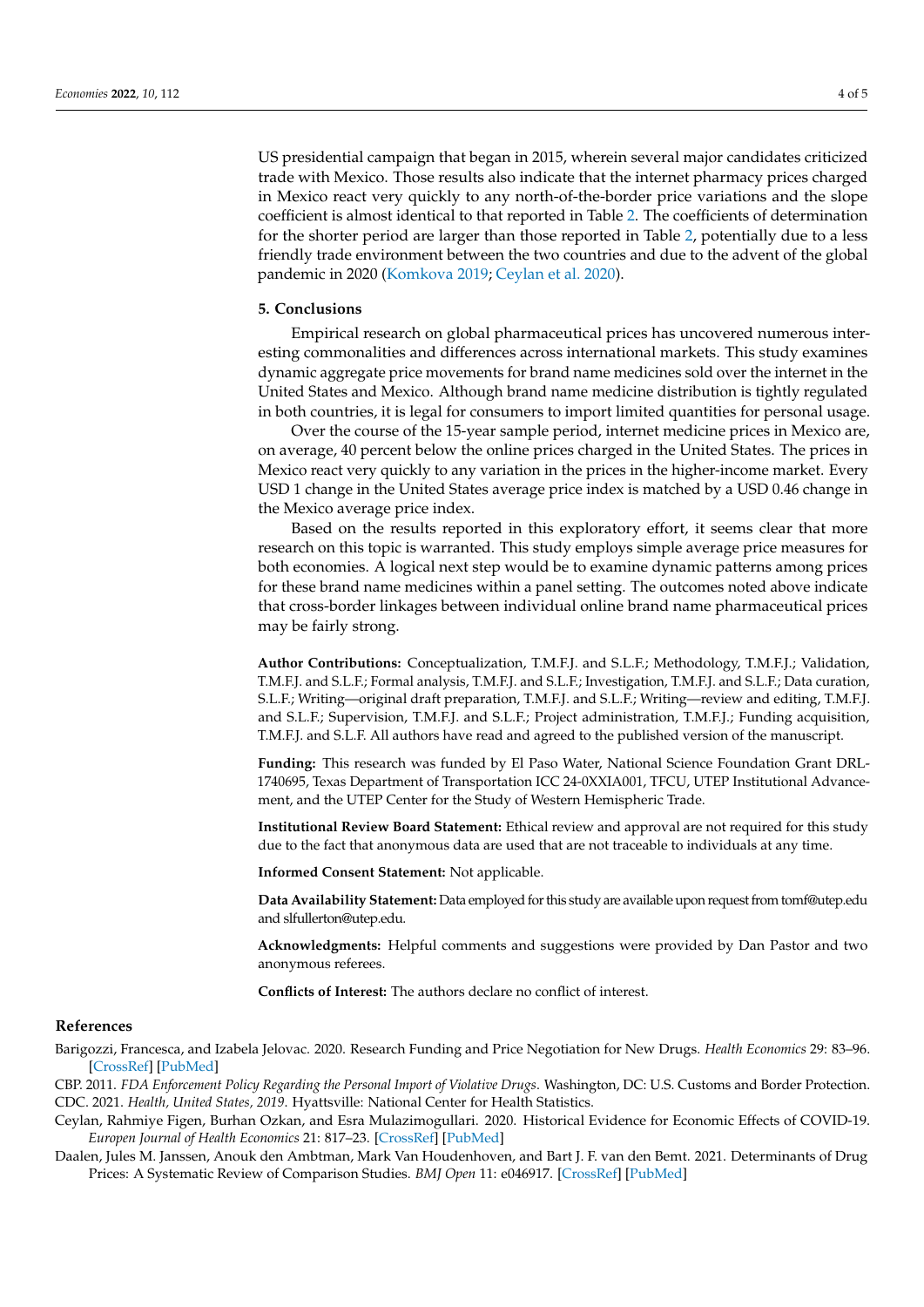US presidential campaign that began in 2015, wherein several major candidates criticized trade with Mexico. Those results also indicate that the internet pharmacy prices charged in Mexico react very quickly to any north-of-the-border price variations and the slope coefficient is almost identical to that reported in Table [2.](#page-3-0) The coefficients of determination for the shorter period are larger than those reported in Table [2,](#page-3-0) potentially due to a less friendly trade environment between the two countries and due to the advent of the global pandemic in 2020 [\(Komkova](#page-5-11) [2019;](#page-5-11) [Ceylan et al.](#page-4-4) [2020\)](#page-4-4).

#### **5. Conclusions**

Empirical research on global pharmaceutical prices has uncovered numerous interesting commonalities and differences across international markets. This study examines dynamic aggregate price movements for brand name medicines sold over the internet in the United States and Mexico. Although brand name medicine distribution is tightly regulated in both countries, it is legal for consumers to import limited quantities for personal usage.

Over the course of the 15-year sample period, internet medicine prices in Mexico are, on average, 40 percent below the online prices charged in the United States. The prices in Mexico react very quickly to any variation in the prices in the higher-income market. Every USD 1 change in the United States average price index is matched by a USD 0.46 change in the Mexico average price index.

Based on the results reported in this exploratory effort, it seems clear that more research on this topic is warranted. This study employs simple average price measures for both economies. A logical next step would be to examine dynamic patterns among prices for these brand name medicines within a panel setting. The outcomes noted above indicate that cross-border linkages between individual online brand name pharmaceutical prices may be fairly strong.

**Author Contributions:** Conceptualization, T.M.F.J. and S.L.F.; Methodology, T.M.F.J.; Validation, T.M.F.J. and S.L.F.; Formal analysis, T.M.F.J. and S.L.F.; Investigation, T.M.F.J. and S.L.F.; Data curation, S.L.F.; Writing—original draft preparation, T.M.F.J. and S.L.F.; Writing—review and editing, T.M.F.J. and S.L.F.; Supervision, T.M.F.J. and S.L.F.; Project administration, T.M.F.J.; Funding acquisition, T.M.F.J. and S.L.F. All authors have read and agreed to the published version of the manuscript.

**Funding:** This research was funded by El Paso Water, National Science Foundation Grant DRL-1740695, Texas Department of Transportation ICC 24-0XXIA001, TFCU, UTEP Institutional Advancement, and the UTEP Center for the Study of Western Hemispheric Trade.

**Institutional Review Board Statement:** Ethical review and approval are not required for this study due to the fact that anonymous data are used that are not traceable to individuals at any time.

**Informed Consent Statement:** Not applicable.

**Data Availability Statement:** Data employed for this study are available upon request from tomf@utep.edu and slfullerton@utep.edu.

**Acknowledgments:** Helpful comments and suggestions were provided by Dan Pastor and two anonymous referees.

**Conflicts of Interest:** The authors declare no conflict of interest.

### **References**

<span id="page-4-2"></span>Barigozzi, Francesca, and Izabela Jelovac. 2020. Research Funding and Price Negotiation for New Drugs. *Health Economics* 29: 83–96. [\[CrossRef\]](http://doi.org/10.1002/hec.4113) [\[PubMed\]](http://www.ncbi.nlm.nih.gov/pubmed/32537861)

<span id="page-4-3"></span><span id="page-4-0"></span>CBP. 2011. *FDA Enforcement Policy Regarding the Personal Import of Violative Drugs*. Washington, DC: U.S. Customs and Border Protection. CDC. 2021. *Health, United States, 2019*. Hyattsville: National Center for Health Statistics.

<span id="page-4-4"></span>Ceylan, Rahmiye Figen, Burhan Ozkan, and Esra Mulazimogullari. 2020. Historical Evidence for Economic Effects of COVID-19. *Europen Journal of Health Economics* 21: 817–23. [\[CrossRef\]](http://doi.org/10.1007/s10198-020-01206-8) [\[PubMed\]](http://www.ncbi.nlm.nih.gov/pubmed/32500243)

<span id="page-4-1"></span>Daalen, Jules M. Janssen, Anouk den Ambtman, Mark Van Houdenhoven, and Bart J. F. van den Bemt. 2021. Determinants of Drug Prices: A Systematic Review of Comparison Studies. *BMJ Open* 11: e046917. [\[CrossRef\]](http://doi.org/10.1136/bmjopen-2020-046917) [\[PubMed\]](http://www.ncbi.nlm.nih.gov/pubmed/34266841)